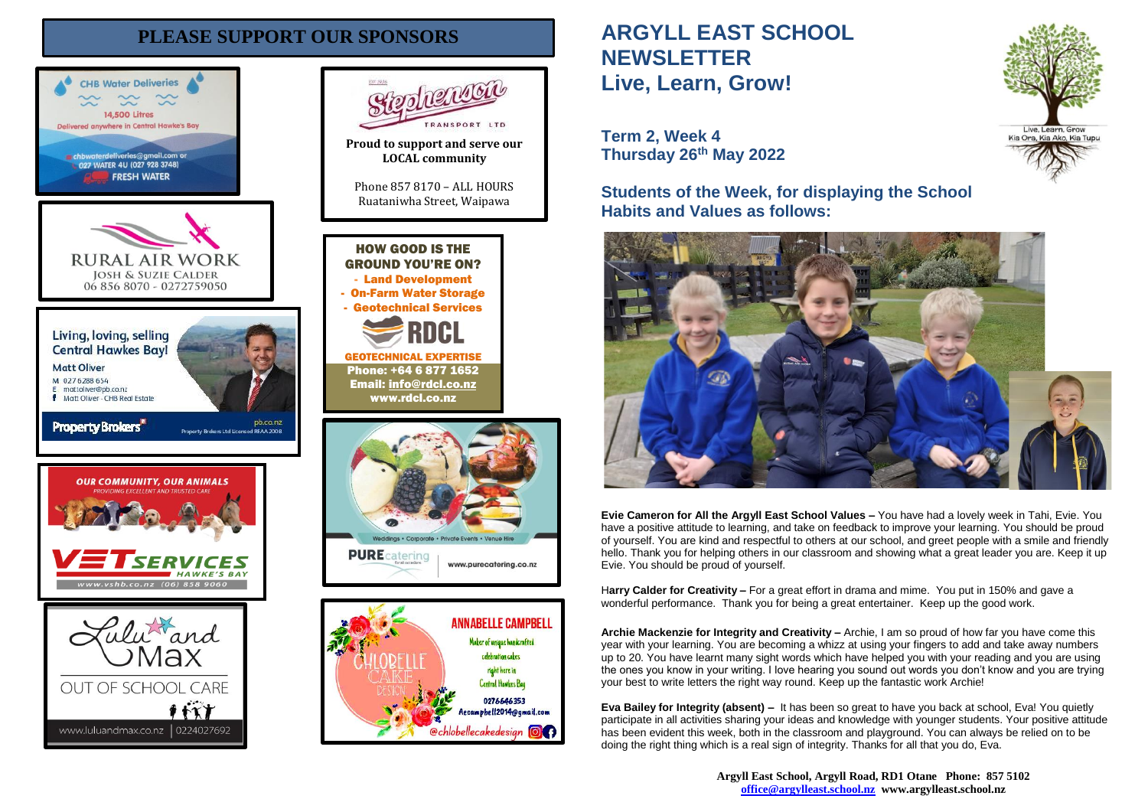# **PLEASE SUPPORT OUR SPONSORS**





celebration cakes right here in

Central Hawkes Bay 0276646353

Aecampbell2014@gmail.com

**@chlobellecakedesign @@** 

RANSPORT LTD

# **ARGYLL EAST SCHOOL NEWSLETTER Live, Learn, Grow!**

**Term 2, Week 4 Thursday 26th May 2022**

**Students of the Week, for displaying the School Habits and Values as follows:**



**Evie Cameron for All the Argyll East School Values –** You have had a lovely week in Tahi, Evie. You have a positive attitude to learning, and take on feedback to improve your learning. You should be proud of yourself. You are kind and respectful to others at our school, and greet people with a smile and friendly hello. Thank you for helping others in our classroom and showing what a great leader you are. Keep it up Evie. You should be proud of yourself.

H**arry Calder for Creativity –** For a great effort in drama and mime. You put in 150% and gave a wonderful performance. Thank you for being a great entertainer. Keep up the good work.

**Archie Mackenzie for Integrity and Creativity –** Archie, I am so proud of how far you have come this year with your learning. You are becoming a whizz at using your fingers to add and take away numbers up to 20. You have learnt many sight words which have helped you with your reading and you are using the ones you know in your writing. I love hearing you sound out words you don't know and you are trying your best to write letters the right way round. Keep up the fantastic work Archie!

**Eva Bailey for Integrity (absent) –** It has been so great to have you back at school, Eva! You quietly participate in all activities sharing your ideas and knowledge with younger students. Your positive attitude has been evident this week, both in the classroom and playground. You can always be relied on to be doing the right thing which is a real sign of integrity. Thanks for all that you do, Eva.